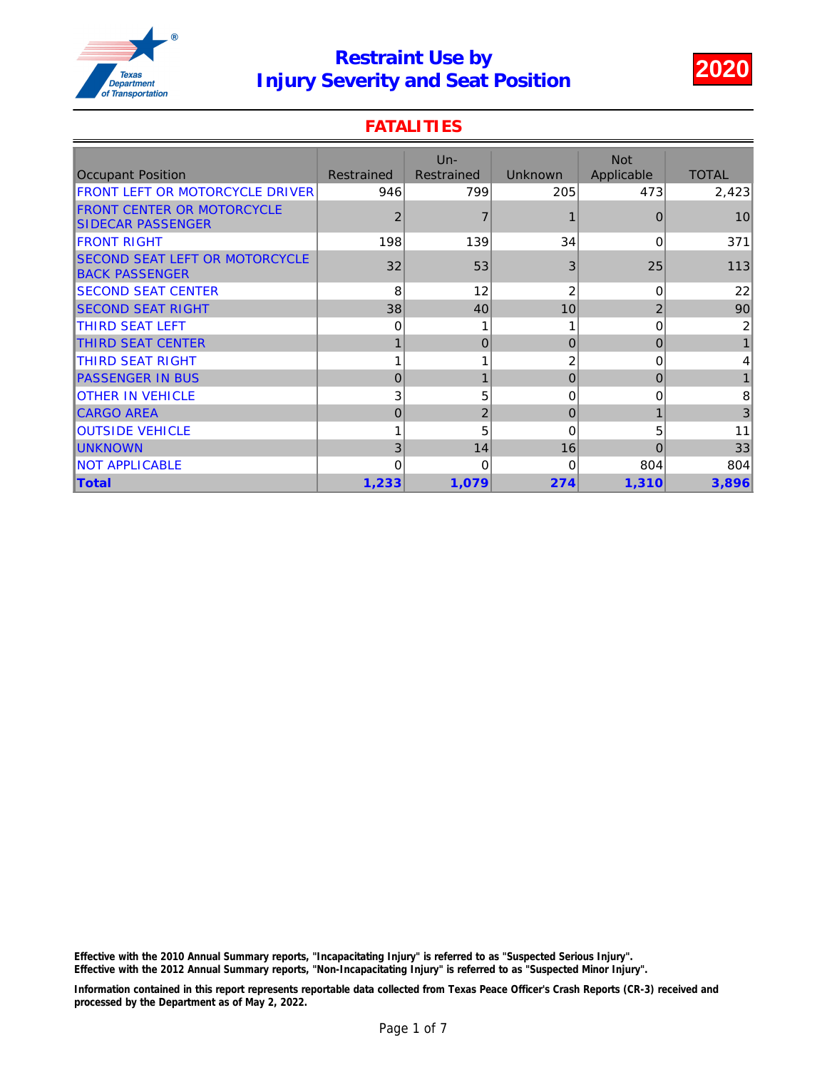

### **FATALITIES**

| <b>Occupant Position</b>                                       | Restrained     | $Un -$<br>Restrained | <b>Unknown</b> | <b>Not</b><br>Applicable | <b>TOTAL</b> |
|----------------------------------------------------------------|----------------|----------------------|----------------|--------------------------|--------------|
| <b>FRONT LEFT OR MOTORCYCLE DRIVER</b>                         | 946            | 799                  | 205            | 473                      | 2,423        |
| <b>FRONT CENTER OR MOTORCYCLE</b><br><b>ISIDECAR PASSENGER</b> | $\overline{2}$ |                      |                | $\Omega$                 | 10           |
| <b>FRONT RIGHT</b>                                             | 198            | 139                  | 34             | 0                        | 371          |
| <b>SECOND SEAT LEFT OR MOTORCYCLE</b><br><b>BACK PASSENGER</b> | 32             | 53                   | 3              | 25                       | 113          |
| <b>ISECOND SEAT CENTER</b>                                     | 8              | 12                   | 2              | $\Omega$                 | 22           |
| <b>SECOND SEAT RIGHT</b>                                       | 38             | 40                   | 10             | $\overline{2}$           | 90           |
| ITHIRD SEAT LEFT                                               | 0              |                      |                | 0                        | 2            |
| <b>THIRD SEAT CENTER</b>                                       |                | $\overline{0}$       | $\Omega$       | $\Omega$                 |              |
| THIRD SEAT RIGHT                                               |                |                      | 2              | 0                        | 4            |
| <b>PASSENGER IN BUS</b>                                        | $\Omega$       | $\mathbf{1}$         | 0              | $\overline{0}$           |              |
| <b>IOTHER IN VEHICLE</b>                                       | 3              | 5                    | 0              | 0                        | 8            |
| <b>CARGO AREA</b>                                              | $\Omega$       | $\overline{c}$       | $\Omega$       |                          | 3            |
| <b>IOUTSIDE VEHICLE</b>                                        |                | 5                    | 0              | 5                        | 11           |
| <b>UNKNOWN</b>                                                 | 3              | 14                   | 16             | $\Omega$                 | 33           |
| <b>INOT APPLICABLE</b>                                         | $\Omega$       | $\Omega$             | 0              | 804                      | 804          |
| <b>Total</b>                                                   | 1,233          | 1,079                | 274            | 1,310                    | 3,896        |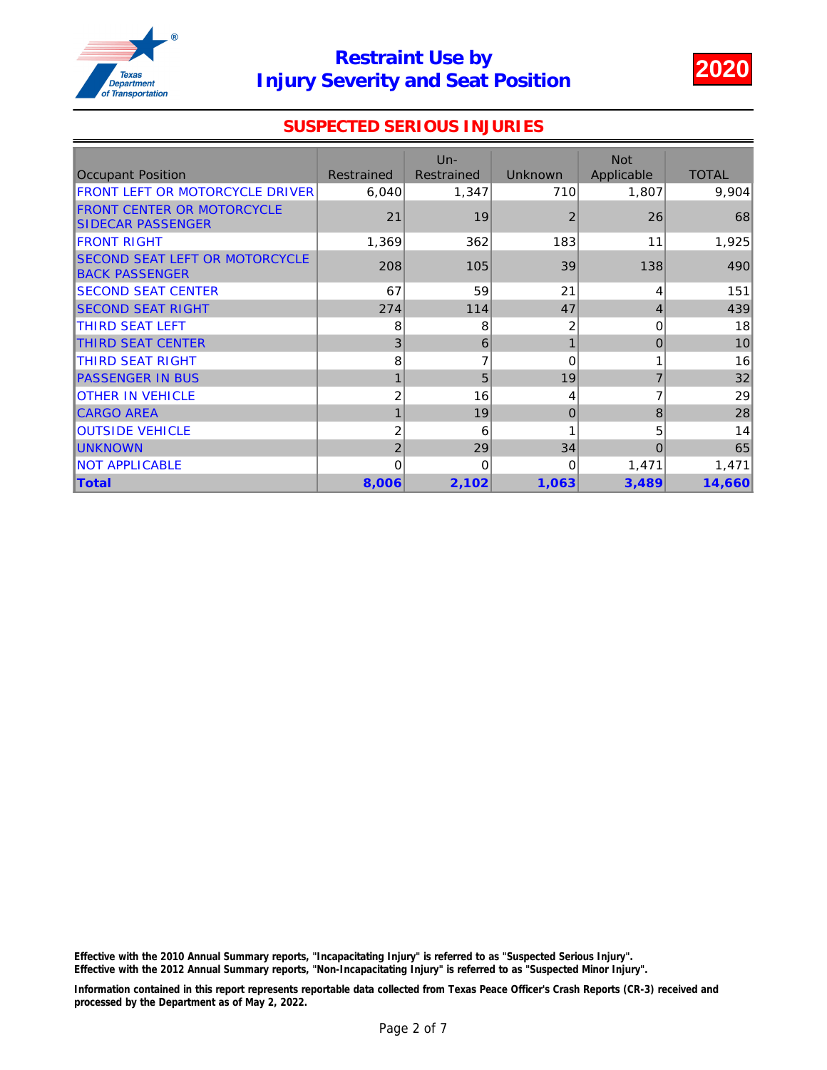

### SUSPECTED SERIOUS INJURIES

|                                                                 |                | $Un -$            |                | <b>Not</b> |              |
|-----------------------------------------------------------------|----------------|-------------------|----------------|------------|--------------|
| <b>Occupant Position</b>                                        | Restrained     | <b>Restrained</b> | <b>Unknown</b> | Applicable | <b>TOTAL</b> |
| FRONT LEFT OR MOTORCYCLE DRIVER                                 | 6,040          | 1,347             | 710            | 1,807      | 9,904        |
| <b>FRONT CENTER OR MOTORCYCLE</b><br><b>SIDECAR PASSENGER</b>   | 21             | 19                | 2              | 26         | 68           |
| <b>IFRONT RIGHT</b>                                             | 1,369          | 362               | 183            | 11         | 1,925        |
| <b>ISECOND SEAT LEFT OR MOTORCYCLE</b><br><b>BACK PASSENGER</b> | 208            | 105               | 39             | 138        | 490          |
| <b>SECOND SEAT CENTER</b>                                       | 67             | 59                | 21             | 4          | 151          |
| <b>SECOND SEAT RIGHT</b>                                        | 274            | 114               | 47             | 4          | 439          |
| <b>THIRD SEAT LEFT</b>                                          | 8              | 8                 | 2              | 0          | 18           |
| <b>THIRD SEAT CENTER</b>                                        | 3              | 6                 |                | $\Omega$   | 10           |
| ITHIRD SEAT RIGHT                                               | 8              | $\overline{7}$    | 0              |            | 16           |
| <b>PASSENGER IN BUS</b>                                         |                | 5                 | 19             | 7          | 32           |
| <b>OTHER IN VEHICLE</b>                                         | 2              | 16                | 4              |            | 29           |
| <b>CARGO AREA</b>                                               |                | 19                | $\mathbf{0}$   | 8          | 28           |
| <b>OUTSIDE VEHICLE</b>                                          | $\overline{c}$ | 6                 |                | 5          | 14           |
| <b>IUNKNOWN</b>                                                 | $\overline{2}$ | 29                | 34             | $\Omega$   | 65           |
| <b>NOT APPLICABLE</b>                                           | 0              | $\Omega$          | 0              | 1,471      | 1,471        |
| <b>Total</b>                                                    | 8,006          | 2,102             | 1,063          | 3,489      | 14,660       |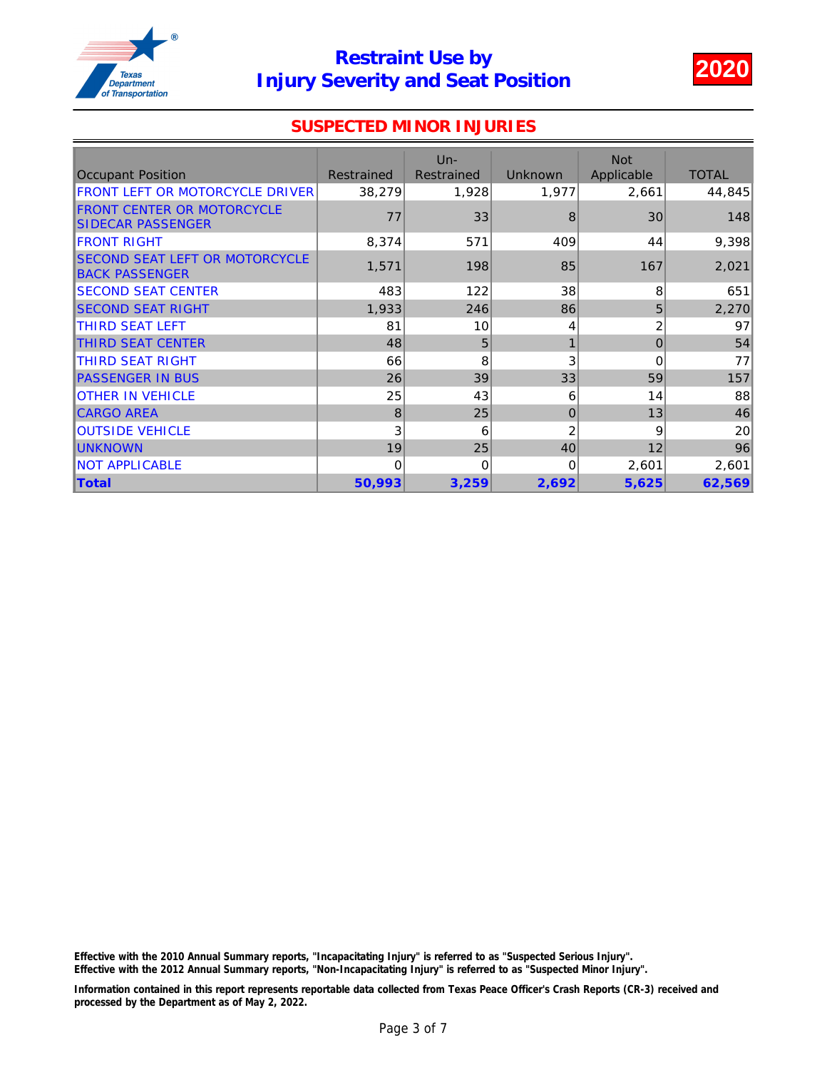

#### SUSPECTED MINOR INJURIES

| <b>Occupant Position</b>                                       | <b>Restrained</b> | $Un -$<br>Restrained | <b>Unknown</b> | <b>Not</b><br>Applicable | <b>TOTAL</b> |
|----------------------------------------------------------------|-------------------|----------------------|----------------|--------------------------|--------------|
| FRONT LEFT OR MOTORCYCLE DRIVER                                | 38,279            | 1,928                | 1,977          | 2,661                    | 44,845       |
| <b>FRONT CENTER OR MOTORCYCLE</b><br><b>SIDECAR PASSENGER</b>  | 77                | 33                   | 8              | 30                       | 148          |
| <b>IFRONT RIGHT</b>                                            | 8,374             | 571                  | 409            | 44                       | 9,398        |
| <b>SECOND SEAT LEFT OR MOTORCYCLE</b><br><b>BACK PASSENGER</b> | 1,571             | 198                  | 85             | 167                      | 2,021        |
| <b>SECOND SEAT CENTER</b>                                      | 483               | 122                  | 38             | 8                        | 651          |
| <b>ISECOND SEAT RIGHT</b>                                      | 1,933             | 246                  | 86             | 5                        | 2,270        |
| <b>ITHIRD SEAT LEFT</b>                                        | 81                | 10                   | 4              | 2                        | 97           |
| THIRD SEAT CENTER                                              | 48                | 5                    |                | $\Omega$                 | 54           |
| ITHIRD SEAT RIGHT                                              | 66                | 8                    | 3              | 0                        | 77           |
| <b>PASSENGER IN BUS</b>                                        | 26                | 39                   | 33             | 59                       | 157          |
| <b>OTHER IN VEHICLE</b>                                        | 25                | 43                   | 6              | 14                       | 88           |
| <b>CARGO AREA</b>                                              | 8                 | 25                   | $\mathbf{0}$   | 13                       | 46           |
| <b>OUTSIDE VEHICLE</b>                                         | 3                 | 6                    | 2              | 9                        | 20           |
| <b>UNKNOWN</b>                                                 | 19                | 25                   | 40             | 12                       | 96           |
| <b>INOT APPLICABLE</b>                                         | 0                 | $\Omega$             | 0              | 2,601                    | 2,601        |
| <b>Total</b>                                                   | 50,993            | 3,259                | 2,692          | 5,625                    | 62,569       |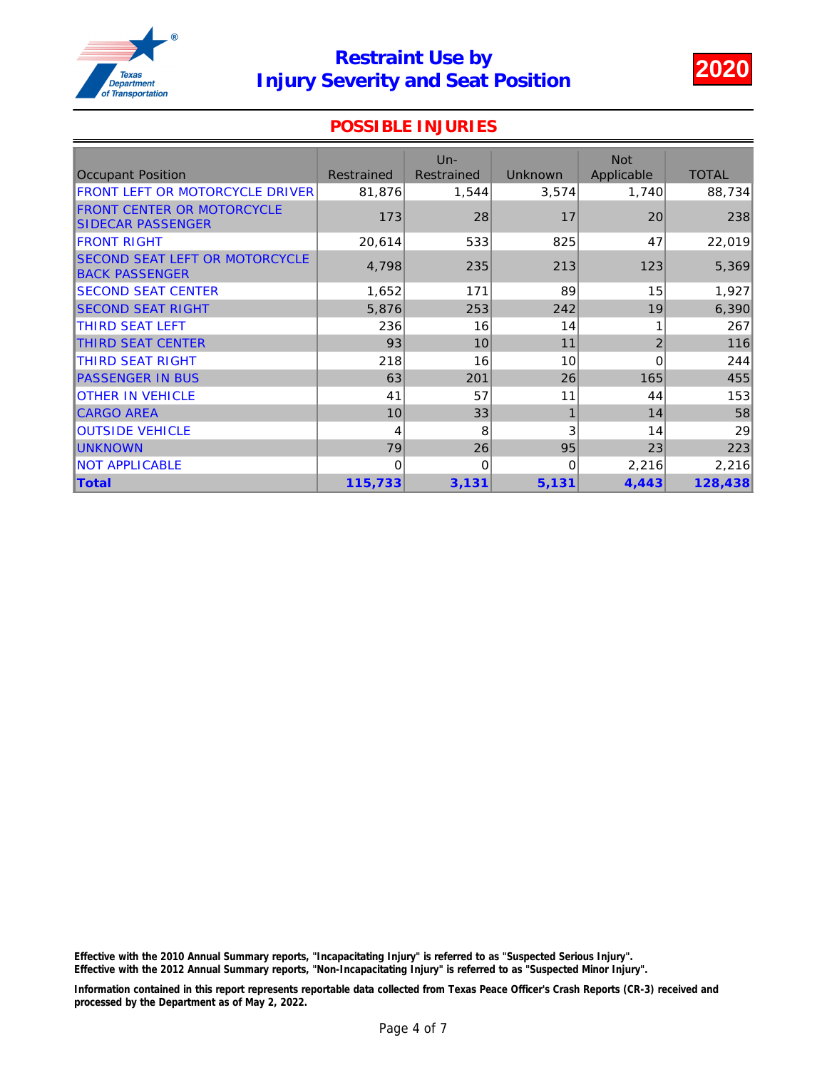

#### POSSIBLE INJURIES

| <b>Occupant Position</b>                                | <b>Restrained</b> | $Un -$<br>Restrained | <b>Unknown</b> | <b>Not</b><br>Applicable | <b>TOTAL</b> |
|---------------------------------------------------------|-------------------|----------------------|----------------|--------------------------|--------------|
| FRONT LEFT OR MOTORCYCLE DRIVER                         | 81,876            | 1,544                | 3,574          | 1,740                    | 88,734       |
| <b>FRONT CENTER OR MOTORCYCLE</b><br>SIDECAR PASSENGER  | 173               | 28                   | 17             | 20                       | 238          |
| <b>IFRONT RIGHT</b>                                     | 20,614            | 533                  | 825            | 47                       | 22,019       |
| SECOND SEAT LEFT OR MOTORCYCLE<br><b>BACK PASSENGER</b> | 4,798             | 235                  | 213            | 123                      | 5,369        |
| <b>SECOND SEAT CENTER</b>                               | 1,652             | 171                  | 89             | 15                       | 1,927        |
| <b>ISECOND SEAT RIGHT</b>                               | 5,876             | 253                  | 242            | 19                       | 6,390        |
| <b>ITHIRD SEAT LEFT</b>                                 | 236               | 16                   | 14             |                          | 267          |
| <b>THIRD SEAT CENTER</b>                                | 93                | 10                   | 11             | $\overline{2}$           | 116          |
| ITHIRD SEAT RIGHT                                       | 218               | 16                   | 10             | 0                        | 244          |
| <b>PASSENGER IN BUS</b>                                 | 63                | 201                  | 26             | 165                      | 455          |
| <b>OTHER IN VEHICLE</b>                                 | 41                | 57                   | 11             | 44                       | 153          |
| <b>CARGO AREA</b>                                       | 10                | 33                   | 1              | 14                       | 58           |
| <b>OUTSIDE VEHICLE</b>                                  | 4                 | 8                    | 3              | 14                       | 29           |
| <b>IUNKNOWN</b>                                         | 79                | 26                   | 95             | 23                       | 223          |
| <b>INOT APPLICABLE</b>                                  | $\Omega$          | $\Omega$             | $\Omega$       | 2,216                    | 2,216        |
| <b>Total</b>                                            | 115,733           | 3,131                | 5,131          | 4,443                    | 128,438      |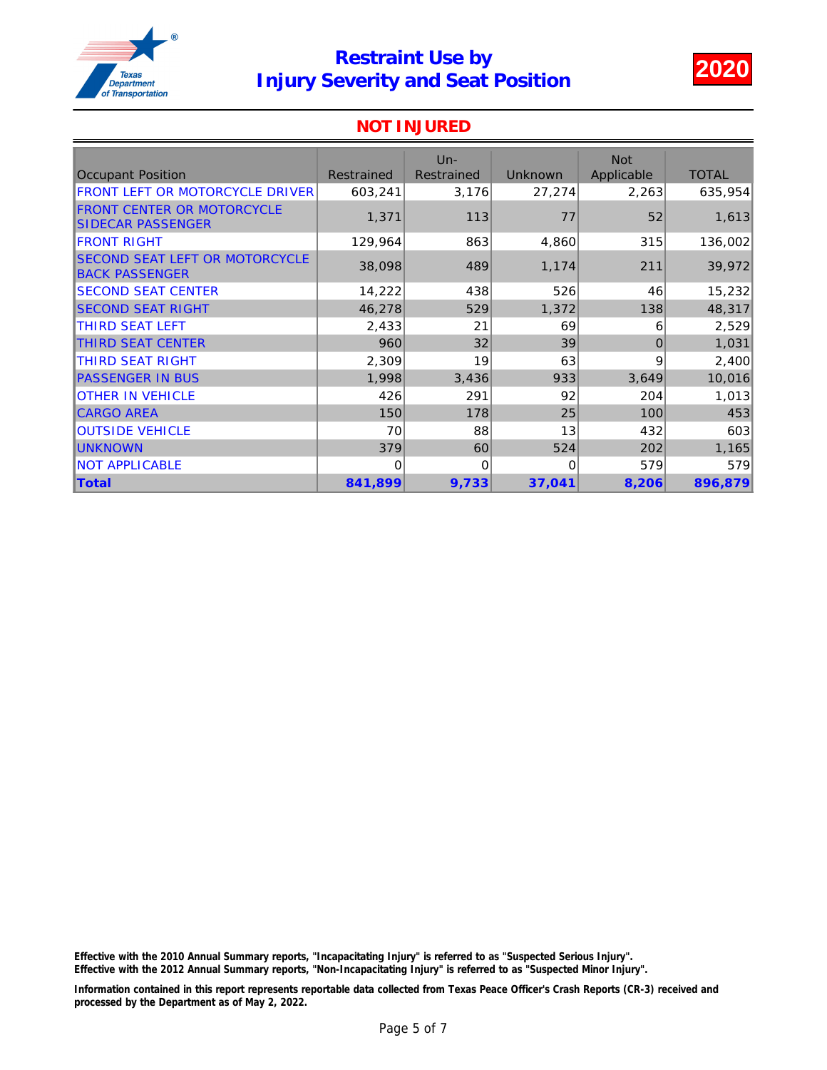

#### NOT INJURED

| <b>Occupant Position</b>                                        | <b>Restrained</b> | $Un -$<br><b>Restrained</b> | Unknown  | <b>Not</b><br>Applicable | <b>TOTAL</b> |
|-----------------------------------------------------------------|-------------------|-----------------------------|----------|--------------------------|--------------|
| FRONT LEFT OR MOTORCYCLE DRIVER                                 | 603,241           | 3,176                       | 27,274   | 2,263                    | 635,954      |
| <b>FRONT CENTER OR MOTORCYCLE</b><br><b>SIDECAR PASSENGER</b>   | 1,371             | 113                         | 77       | 52                       | 1,613        |
| <b>IFRONT RIGHT</b>                                             | 129,964           | 863                         | 4,860    | 315                      | 136,002      |
| <b>ISECOND SEAT LEFT OR MOTORCYCLE</b><br><b>BACK PASSENGER</b> | 38,098            | 489                         | 1,174    | 211                      | 39,972       |
| <b>SECOND SEAT CENTER</b>                                       | 14,222            | 438                         | 526      | 46                       | 15,232       |
| <b>SECOND SEAT RIGHT</b>                                        | 46,278            | 529                         | 1,372    | 138                      | 48,317       |
| <b>THIRD SEAT LEFT</b>                                          | 2,433             | 21                          | 69       | 6                        | 2,529        |
| THIRD SEAT CENTER                                               | 960               | 32                          | 39       | $\Omega$                 | 1,031        |
| <b>THIRD SEAT RIGHT</b>                                         | 2,309             | 19                          | 63       | 9                        | 2,400        |
| <b>PASSENGER IN BUS</b>                                         | 1,998             | 3,436                       | 933      | 3,649                    | 10,016       |
| <b>OTHER IN VEHICLE</b>                                         | 426               | 291                         | 92       | 204                      | 1,013        |
| <b>CARGO AREA</b>                                               | 150               | 178                         | 25       | 100                      | 453          |
| <b>OUTSIDE VEHICLE</b>                                          | 70                | 88                          | 13       | 432                      | 603          |
| <b>IUNKNOWN</b>                                                 | 379               | 60                          | 524      | 202                      | 1,165        |
| <b>NOT APPLICABLE</b>                                           | 0                 | $\Omega$                    | $\Omega$ | 579                      | 579          |
| <b>Total</b>                                                    | 841,899           | 9,733                       | 37,041   | 8,206                    | 896,879      |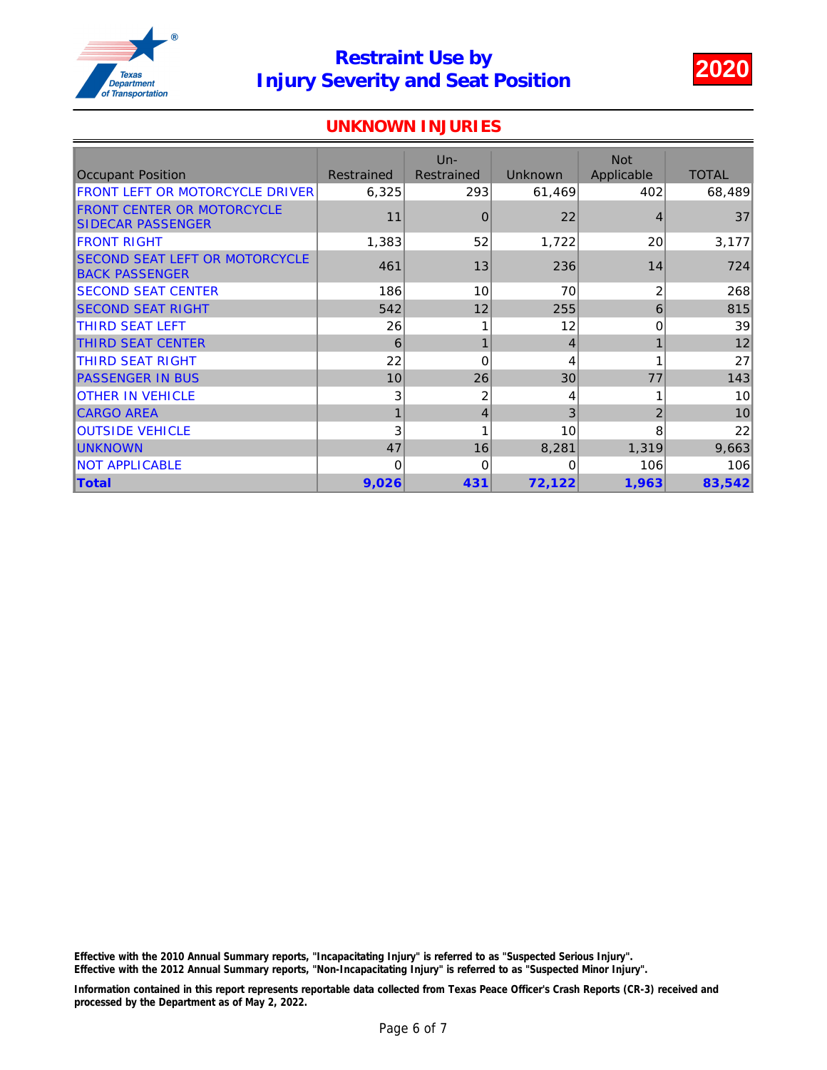

### UNKNOWN INJURIES

|                                                                 |            | $Un -$         |                | <b>Not</b>     |              |
|-----------------------------------------------------------------|------------|----------------|----------------|----------------|--------------|
| <b>Occupant Position</b>                                        | Restrained | Restrained     | <b>Unknown</b> | Applicable     | <b>TOTAL</b> |
| FRONT LEFT OR MOTORCYCLE DRIVER                                 | 6,325      | 293            | 61,469         | 402            | 68,489       |
| <b>FRONT CENTER OR MOTORCYCLE</b><br>SIDECAR PASSENGER          | 11         | $\overline{0}$ | 22             | $\overline{4}$ | 37           |
| <b>IFRONT RIGHT</b>                                             | 1,383      | 52             | 1,722          | 20             | 3,177        |
| <b>ISECOND SEAT LEFT OR MOTORCYCLE</b><br><b>BACK PASSENGER</b> | 461        | 13             | 236            | 14             | 724          |
| <b>SECOND SEAT CENTER</b>                                       | 186        | 10             | 70             | $\overline{2}$ | 268          |
| <b>SECOND SEAT RIGHT</b>                                        | 542        | 12             | 255            | 6              | 815          |
| <b>THIRD SEAT LEFT</b>                                          | 26         |                | 12             | 0              | 39           |
| <b>THIRD SEAT CENTER</b>                                        | 6          | $\mathbf{1}$   | 4              |                | 12           |
| ITHIRD SEAT RIGHT                                               | 22         | $\Omega$       | 4              |                | 27           |
| <b>PASSENGER IN BUS</b>                                         | 10         | 26             | 30             | 77             | 143          |
| <b>OTHER IN VEHICLE</b>                                         | 3          | 2              | 4              |                | 10           |
| <b>CARGO AREA</b>                                               |            | 4              | 3              | $\overline{2}$ | 10           |
| <b>OUTSIDE VEHICLE</b>                                          | 3          |                | 10             | 8              | 22           |
| <b>IUNKNOWN</b>                                                 | 47         | 16             | 8,281          | 1,319          | 9,663        |
| <b>INOT APPLICABLE</b>                                          | $\Omega$   | $\Omega$       | 0              | 106            | 106          |
| <b>Total</b>                                                    | 9,026      | 431            | 72,122         | 1,963          | 83,542       |